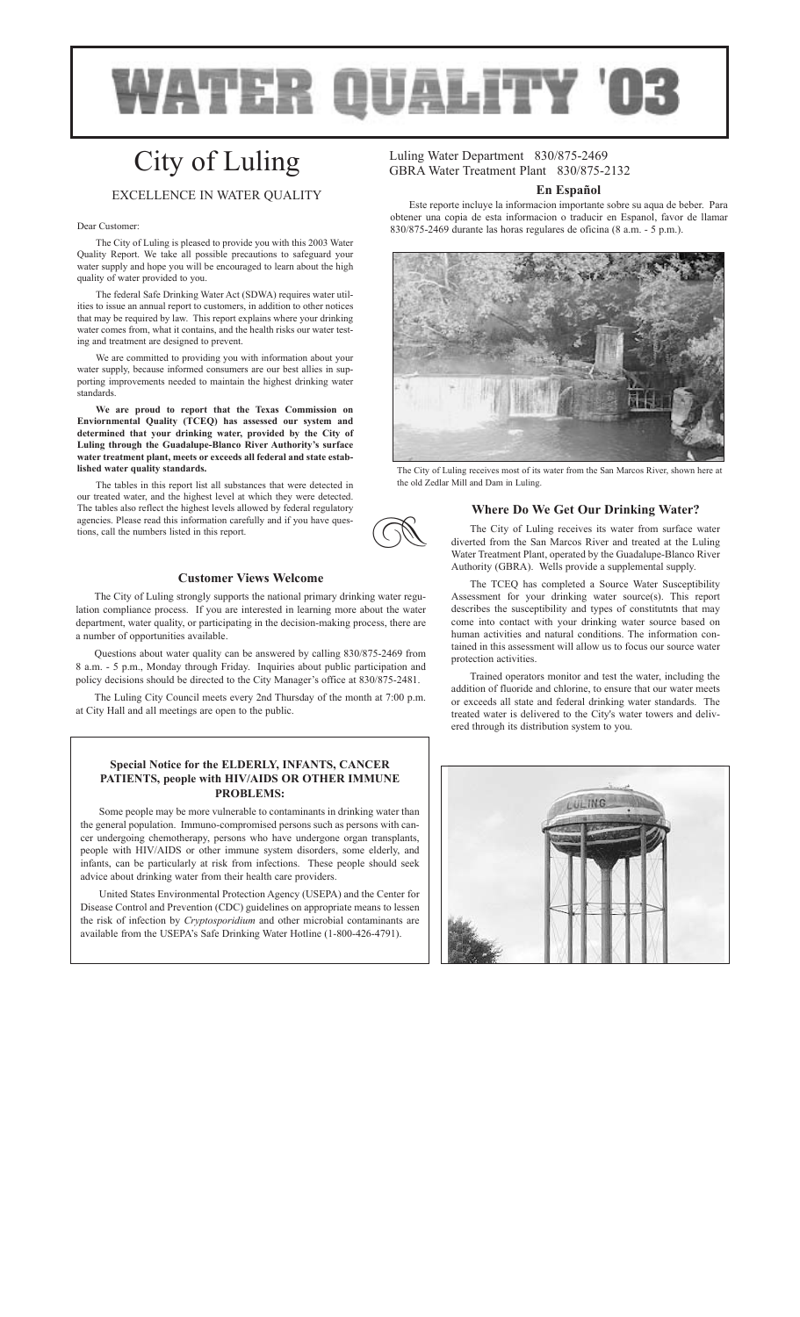

**z** 

# City of Luling

# EXCELLENCE IN WATER QUALITY

#### Dear Customer:

The City of Luling is pleased to provide you with this 2003 Water Quality Report. We take all possible precautions to safeguard your water supply and hope you will be encouraged to learn about the high quality of water provided to you.

The federal Safe Drinking Water Act (SDWA) requires water utilities to issue an annual report to customers, in addition to other notices that may be required by law. This report explains where your drinking water comes from, what it contains, and the health risks our water testing and treatment are designed to prevent.

We are committed to providing you with information about your water supply, because informed consumers are our best allies in supporting improvements needed to maintain the highest drinking water standards.

**We are proud to report that the Texas Commission on Enviornmental Quality (TCEQ) has assessed our system and determined that your drinking water, provided by the City of Luling through the Guadalupe-Blanco River Authority's surface water treatment plant, meets or exceeds all federal and state established water quality standards.**

The tables in this report list all substances that were detected in our treated water, and the highest level at which they were detected. The tables also reflect the highest levels allowed by federal regulatory agencies. Please read this information carefully and if you have questions, call the numbers listed in this report.

# **Customer Views Welcome**

The City of Luling strongly supports the national primary drinking water regulation compliance process. If you are interested in learning more about the water department, water quality, or participating in the decision-making process, there are a number of opportunities available.

Questions about water quality can be answered by calling 830/875-2469 from 8 a.m. - 5 p.m., Monday through Friday. Inquiries about public participation and policy decisions should be directed to the City Manager's office at 830/875-2481.

The Luling City Council meets every 2nd Thursday of the month at 7:00 p.m. at City Hall and all meetings are open to the public.

# **Special Notice for the ELDERLY, INFANTS, CANCER PATIENTS, people with HIV/AIDS OR OTHER IMMUNE PROBLEMS:**

Some people may be more vulnerable to contaminants in drinking water than the general population. Immuno-compromised persons such as persons with cancer undergoing chemotherapy, persons who have undergone organ transplants, people with HIV/AIDS or other immune system disorders, some elderly, and infants, can be particularly at risk from infections. These people should seek advice about drinking water from their health care providers.

United States Environmental Protection Agency (USEPA) and the Center for Disease Control and Prevention (CDC) guidelines on appropriate means to lessen the risk of infection by *Cryptosporidium* and other microbial contaminants are available from the USEPA's Safe Drinking Water Hotline (1-800-426-4791).

Luling Water Department 830/875-2469 GBRA Water Treatment Plant 830/875-2132

#### **En Español**

Este reporte incluye la informacion importante sobre su aqua de beber. Para obtener una copia de esta informacion o traducir en Espanol, favor de llamar 830/875-2469 durante las horas regulares de oficina (8 a.m. - 5 p.m.).



The City of Luling receives most of its water from the San Marcos River, shown here at the old Zedlar Mill and Dam in Luling.

## **Where Do We Get Our Drinking Water?**

The City of Luling receives its water from surface water diverted from the San Marcos River and treated at the Luling Water Treatment Plant, operated by the Guadalupe-Blanco River Authority (GBRA). Wells provide a supplemental supply.

The TCEQ has completed a Source Water Susceptibility Assessment for your drinking water source(s). This report describes the susceptibility and types of constitutnts that may come into contact with your drinking water source based on human activities and natural conditions. The information contained in this assessment will allow us to focus our source water protection activities.

Trained operators monitor and test the water, including the addition of fluoride and chlorine, to ensure that our water meets or exceeds all state and federal drinking water standards. The treated water is delivered to the City's water towers and delivered through its distribution system to you.